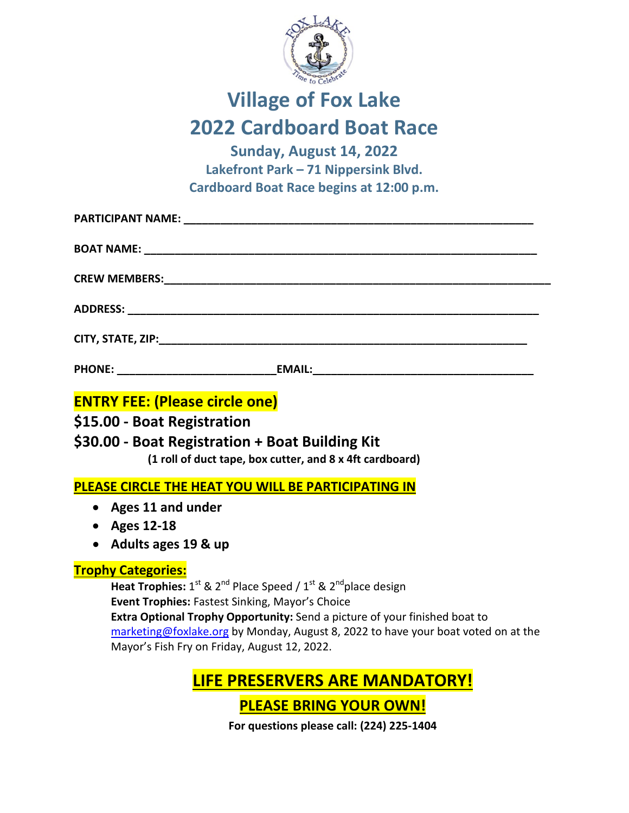

## **Village of Fox Lake 2022 Cardboard Boat Race**

**Sunday, August 14, 2022 Lakefront Park – 71 Nippersink Blvd. Cardboard Boat Race begins at 12:00 p.m.**

|                                       | PHONE: _________________________________EMAIL:__________________________________  |
|---------------------------------------|-----------------------------------------------------------------------------------|
| <b>ENTRY FEE: (Please circle one)</b> |                                                                                   |
| \$15.00 - Boat Registration           |                                                                                   |
|                                       | \$30.00 - Boat Registration + Boat Building Kit                                   |
|                                       | (1 roll of duct tape, box cutter, and 8 x 4ft cardboard)                          |
|                                       | PLEASE CIRCLE THE HEAT YOU WILL BE PARTICIPATING IN                               |
| • Ages 11 and under                   |                                                                                   |
| • Ages 12-18                          |                                                                                   |
| • Adults ages 19 & up                 |                                                                                   |
| <b>Trophy Categories:</b>             |                                                                                   |
|                                       | Heat Trophies: $1^{st}$ & $2^{nd}$ Place Speed / $1^{st}$ & $2^{nd}$ place design |
|                                       | Event Trophies: Fastest Sinking, Mayor's Choice                                   |
|                                       | Extra Optional Trophy Opportunity: Send a picture of your finished boat to        |

[marketing@foxlake.org](mailto:marketing@foxlake.org) by Monday, August 8, 2022 to have your boat voted on at the Mayor's Fish Fry on Friday, August 12, 2022.

**LIFE PRESERVERS ARE MANDATORY!** 

**PLEASE BRING YOUR OWN!**

**For questions please call: (224) 225-1404**